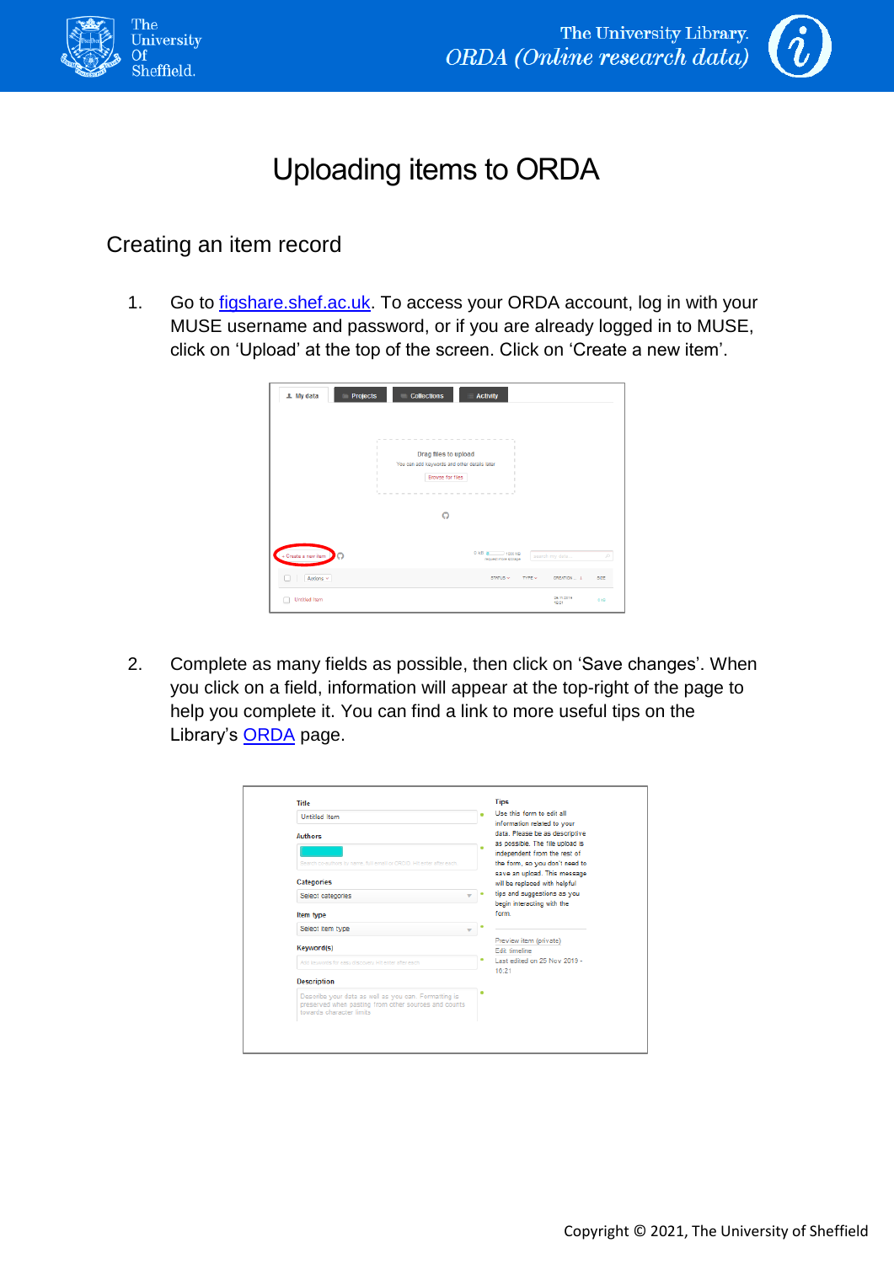



## Uploading items to ORDA

## Creating an item record

1. Go to [figshare.shef.ac.uk.](https://figshare.shef.ac.uk/) To access your ORDA account, log in with your MUSE username and password, or if you are already logged in to MUSE, click on 'Upload' at the top of the screen. Click on 'Create a new item'.

| Projects<br>1 My data | <b>Collections</b><br><b>Activity</b>                                                                                |
|-----------------------|----------------------------------------------------------------------------------------------------------------------|
|                       | $\sim$<br><b>Service</b><br>Drag files to upload<br>You can add keywords and other details later<br>Browse for files |
|                       | $\Omega$                                                                                                             |
| + Create a new item   | 0 kB @ 1000 MB<br>search my data<br>$\mathcal{L}$<br>request more storage                                            |
| Actions $\sim$        | CREATION  1<br>SIZE<br>STATUS V<br>TYPE V                                                                            |
| <b>Untitled Item</b>  | 25.11.2019<br>$Q$ kB<br>16:21                                                                                        |

2. Complete as many fields as possible, then click on 'Save changes'. When you click on a field, information will appear at the top-right of the page to help you complete it. You can find a link to more useful tips on the Library's **[ORDA](https://www.sheffield.ac.uk/library/rdm/orda)** page.

| <b>Untitled Item</b>                                                                                                                     | Use this form to edit all                                                                        |
|------------------------------------------------------------------------------------------------------------------------------------------|--------------------------------------------------------------------------------------------------|
| <b>Authors</b>                                                                                                                           | information related to your<br>data. Please be as descriptive<br>as possible. The file upload is |
| Search co-authors by name, full email or ORCID. Hit enter after each,                                                                    | independent from the rest of<br>the form, so you don't need to                                   |
| <b>Categories</b>                                                                                                                        | save an upload. This message<br>will be replaced with helpful                                    |
| Select categories                                                                                                                        | tips and suggestions as you<br>begin interacting with the                                        |
| Item type                                                                                                                                | form                                                                                             |
| Select item type                                                                                                                         |                                                                                                  |
| Keyword(s)                                                                                                                               | Preview item (private)<br>Edit timeline                                                          |
| Add keywords for easy discovery. Hit enter after each                                                                                    | Last edited on 25 Nov 2019 -                                                                     |
| <b>Description</b>                                                                                                                       | 16:21                                                                                            |
| Describe your data as well as you can. Formatting is<br>preserved when pasting from other sources and counts<br>towards character limits |                                                                                                  |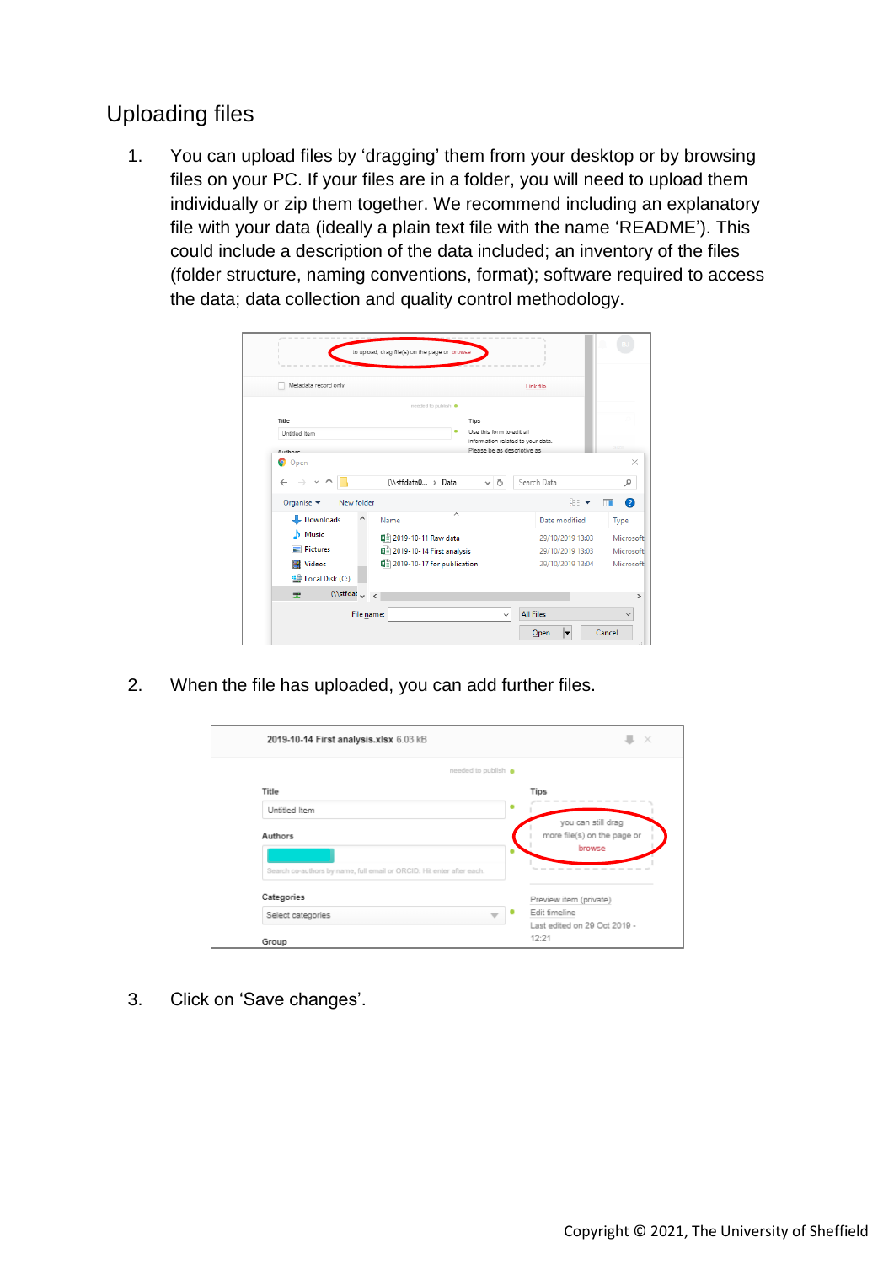## Uploading files

1. You can upload files by 'dragging' them from your desktop or by browsing files on your PC. If your files are in a folder, you will need to upload them individually or zip them together. We recommend including an explanatory file with your data (ideally a plain text file with the name 'README'). This could include a description of the data included; an inventory of the files (folder structure, naming conventions, format); software required to access the data; data collection and quality control methodology.

| Metadata record only                                                     |                                                                | Link file                            |                        |
|--------------------------------------------------------------------------|----------------------------------------------------------------|--------------------------------------|------------------------|
|                                                                          | needed to publish                                              |                                      |                        |
| Title                                                                    | Tips                                                           |                                      |                        |
| Untitled Item                                                            | Use this form to edit all<br>information related to your data. |                                      |                        |
| Authors                                                                  | Please be as descriptive as                                    |                                      |                        |
| $\leftarrow$<br>Organise $\blacktriangledown$<br>New folder<br>Downloads | (\\stfdata0  > Data<br>৺ ু<br>Name                             | Search Data<br>胆 ▼                   | ۹<br>ш                 |
| Music<br>n.                                                              |                                                                | Date modified                        | Type                   |
| Pictures                                                                 | 2019-10-11 Raw data<br>图 2019-10-14 First analysis             | 29/10/2019 13:03<br>29/10/2019 13:03 | Microsoft<br>Microsoft |
| <b>Videos</b><br>B<br>Local Disk (C:)                                    | 图 2019-10-17 for publication                                   | 29/10/2019 13:04                     | Microsoft              |
|                                                                          |                                                                |                                      |                        |

2. When the file has uploaded, you can add further files.

| 2019-10-14 First analysis.xlsx 6.03 kB                                | $\times$                                                    |
|-----------------------------------------------------------------------|-------------------------------------------------------------|
| needed to publish                                                     |                                                             |
| Title                                                                 | Tips                                                        |
| Untitled Item                                                         |                                                             |
| Authors                                                               | you can still drag<br>more file(s) on the page or<br>browse |
| Search co-authors by name, full email or ORCID. Hit enter after each. | .                                                           |
| Categories                                                            | Preview item (private)                                      |
| Select categories                                                     | Edit timeline                                               |
| Group                                                                 | Last edited on 29 Oct 2019 -<br>12:21                       |

3. Click on 'Save changes'.